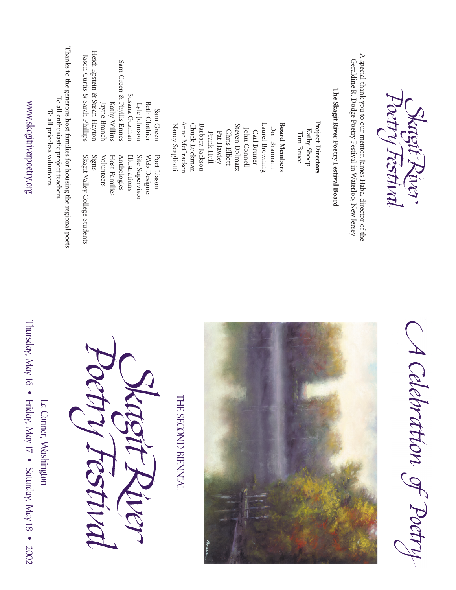| La Conner, Washington | To all priceless volunteers                                                                                                  |                                                               |
|-----------------------|------------------------------------------------------------------------------------------------------------------------------|---------------------------------------------------------------|
|                       | Thanks to the generous host families for housing the regional poets<br>To all enthusiastic project teachers                  |                                                               |
| ctry Festiva          | Skagit Valley College Students<br>Signs                                                                                      | Heidi Epstein & Susan Hayton<br>Jason Curtis & Sarah Phillips |
|                       | Host Families<br>Volunteers                                                                                                  | Kathy Willins<br>Jayne Branch                                 |
| Matent River          | Illustrations<br>Anthologies                                                                                                 | Sam Green & Phyllis Ennes<br>Susana Guzman                    |
|                       | Site Supervisor<br>Web Designer                                                                                              | <b>Beth Clothier</b><br>Lyle Johnson                          |
|                       | Poet Liason                                                                                                                  | Sam Green                                                     |
| THE SECOND BIENNIAL   | Anne McCracken<br>Nancy Scagliotti                                                                                           |                                                               |
|                       | Chuck Luckman                                                                                                                |                                                               |
|                       | Barbara Jackson                                                                                                              |                                                               |
|                       | Frank Hull                                                                                                                   |                                                               |
|                       | Pat Hawley                                                                                                                   |                                                               |
|                       | Steven Dolmatz<br>Chris Elliott                                                                                              |                                                               |
|                       | John Connell                                                                                                                 |                                                               |
|                       | Carl Bruner                                                                                                                  |                                                               |
|                       | Laurel Browning                                                                                                              |                                                               |
|                       | Don Brannam                                                                                                                  |                                                               |
|                       | <b>Board Members</b>                                                                                                         |                                                               |
|                       |                                                                                                                              |                                                               |
|                       | Tim Bruce                                                                                                                    |                                                               |
|                       | Project Directors<br>Kathy Shoop                                                                                             |                                                               |
|                       | The Skagit River Poetry Festival Board                                                                                       |                                                               |
|                       | A special thank you to our mentor, James Haba, director of the<br>Geraldine R. Dodge Poetry Festival in Waterloo, New Jersey |                                                               |
|                       |                                                                                                                              |                                                               |
|                       | detry Festiva                                                                                                                |                                                               |
| ilebration of Poetry  | Wagit Kive                                                                                                                   |                                                               |
|                       |                                                                                                                              |                                                               |

www.skagitriverpoetry.org

www.skagitriverpoetry.org

Thursday, May 16 • Friday, May 17 • Saturday, May 18 • 2002

Thursday, May 16 · Friday, May 17 · Saturday, May 18 · 2002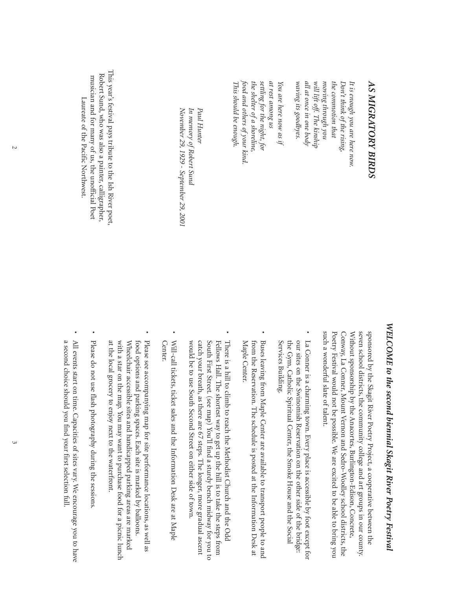| This year's festival pays tribute to the Ish River poet, | November 29, 1929 - September 29, 2001<br>In memory of Robert Sund<br>Paul Hunter | settling for the night, for<br>food and others of your kind.<br>the shelter of a shoreline.<br>at rest among us<br>This should be enough.<br>You are here now as if | waving its goodbyes.<br>all at once in one body<br>пол ц8полц 8и1лош<br>the commotion that<br>will lift off. The kinship |
|----------------------------------------------------------|-----------------------------------------------------------------------------------|---------------------------------------------------------------------------------------------------------------------------------------------------------------------|--------------------------------------------------------------------------------------------------------------------------|
|                                                          |                                                                                   |                                                                                                                                                                     |                                                                                                                          |

#### This year's festival pays tribute to the Ish River poet, Robert Sund, who was also a painter, calligrapher, Robert Sund,musician and for many ofLaureate of the Pacific Northwest. Laureate of who was also a painter, the Pacific Northwest. us, the unofficial Poet calligrapher, boet,

# *WELCOME*WELCOME to the second biennial Skagit River Poetry Festival *to the second biennial Skagit River Poetry Festival*

such a wonderful slate of talent. Poetry Festival would not be possible. We are excited to be able to bring you seven school districts, the community college and art groups in our county. sponsored by the Skagit River Poetry Project, a cooperative between the such a wonderful slate ofPoetry Festival would not be possible.Conway,  $\leq$ seven school districts,sponsored by the Skagit River Poetry Project,ithout sponsorship by the Anacortes,La Conner, Mount Vernon and Sedro-Woolley school districts, the community college and art groups in our county. We are excited to be able to bring you Burlington-Edison,a cooperative between the Concrete, the

*It is enough you are here now.* 

*Don't think of*

 *the rising,*

*is enough you are here now.*

*AS MIGRATORY BIRDS*

**AS MIGRATORY BIRDS** 

- Services Building. our sites on the Swinomish Reservation on the other side of the bridge: La Conner is a charming town. Every place is accessible by foot except for Services Building. the Gym, our sites on the Swinomish Reservation on the other side ofLa Conner is a charming town.Catholic Spiritual Center,Every place is accessible by foot except for the Smoke House and the Social
- •Buses leaving from Maple Center are available to transport people to and from the Reservation. The schedule is posted at the Information Desk at  $\boxtimes$ from the Reservation.Buses leaving from Maple Center are available to transport people to and aple Center. The schedule is posted at the Information Desk at
- •South First Street. (see map) You'll find a sturdy bench midway for you to There is a hill to climb to reach the Methodist Church and the Odd Fellows Hall. The shortest way to get up the hill is to take the steps from There is a hill to climb to reach the Methodist Church and the Odd w catch your breath,South First Street.Fellows Hall.ould be to use South Second Street on either side of The shortest way to get up the hill is to take the steps from as there are 67 steps.(see map) You'll find a sturdy bench midway for you to The longer, more gradual ascent town.
- •Will-call tickets, ticket sales and the Information Desk are at Maple Center. Will-call tickets,ticket sales and the Information Desk are at Maple
- at the local grocery to enjoy next to the waterfront. with a star on the map. You may want to purchase food for a picnic lunch Wheelchair accessible sites and handicapped parking areas are marked Please see accompanying map for site performance locations, as well as food options and parking spaces. Each site is marked by balloons. at the local grocery to enjoy next to the waterfront. with a star on the map.food options and parking spaces.Please see accompanying map for site performance locations,eelchair accessible sites and handicapped parking areas are marked You may want to purchase food for a picnic lunch Each site is marked by balloons. as well as
- Please do not use flash photography during the sessions Please do not use flash photography during the sessions.

•

•a second choice should you find your first selection full. All events start on time.a second choice should you find your first selection full.Capacities of sites vary.We encourage you to have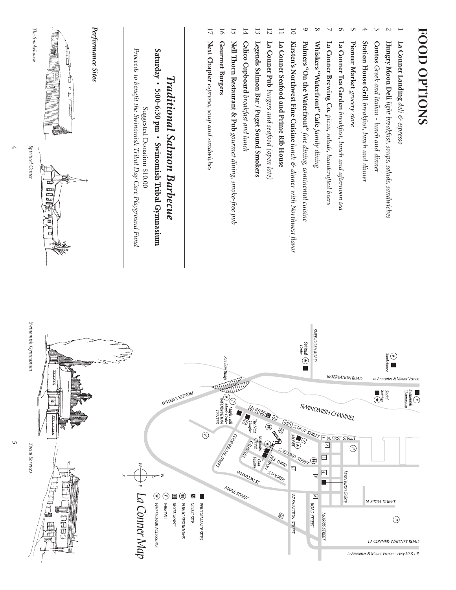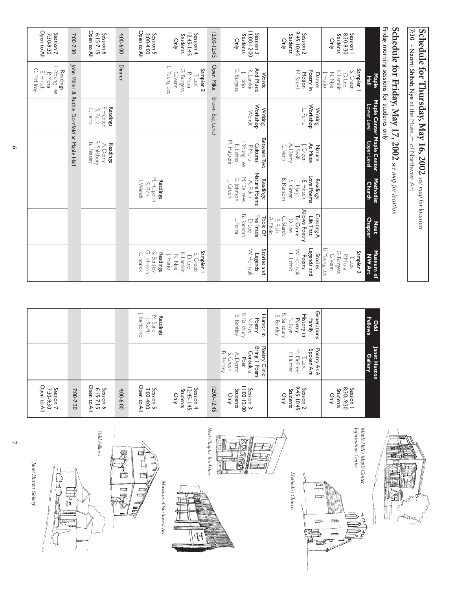|                                                        |                                                                                      | 7:30 - Naomi Shihab Nye at the Museum of Northwest Art                    |                                                                              |                                                                                     |                                                                                                    |                                                                                    |
|--------------------------------------------------------|--------------------------------------------------------------------------------------|---------------------------------------------------------------------------|------------------------------------------------------------------------------|-------------------------------------------------------------------------------------|----------------------------------------------------------------------------------------------------|------------------------------------------------------------------------------------|
|                                                        |                                                                                      | Friday morning sessions for students only<br>Schedule for Friday, May 17, |                                                                              | 2002 see map for location                                                           |                                                                                                    |                                                                                    |
|                                                        | <b>Maple</b><br>Hall                                                                 | Lower Level                                                               | Maple Center Maple Center<br>Upper Level                                     | Methodist<br><b>Church</b>                                                          | <b>Chapter</b><br><b>Next</b>                                                                      | Museum of<br><b>NWArt</b>                                                          |
| 8:30-9:30<br>Session  <br>Students<br>Only             | Sampler<br>K. Lamkin<br>S. Green<br>$J.$ Harjo<br>N.N/e<br>D. Lee                    |                                                                           |                                                                              |                                                                                     |                                                                                                    | Li-Young Lee<br>G. Burgess<br>Sampler <sub>2</sub><br>P. Mora<br>G. Venn<br>T. Lux |
| 9:45-10:45<br>Session <sub>2</sub><br>Students<br>Only | Poetry In<br>M. Sanelli<br>Motion<br>Dance:                                          | Workshop<br>Writing<br>L. Ferra                                           | A. Derry<br>As Muse<br>J. Green<br>G. Venn<br>Nature<br>$J.$ Swift           | Love Poems<br>B. Ransom<br>Readings:<br>E. Hirsch<br>S. Green<br>$\downarrow$ Harjo | Allows Poetry<br>Creating A<br>To Come<br>Life That<br>C. Starck<br>A. Pitkin<br>S. Rich<br>D. Lee | W. Homyak<br>E. Edmo<br>Legends and<br>Stories,<br>Poems                           |
| 11:00-12:00<br>Session 3<br>Students<br>Qnly           | And Music<br>G. Burgess<br>K. Lamkin<br><b>Words</b><br>$\frac{1}{\sqrt{1}}$ . Harjo | Workshop<br>l.Wendt<br>Writing                                            | Between Two<br>Li-Young Lee<br>M. Halperin<br>Cultures<br>E. Edmo<br>P. Mora | Nature Poems<br>M. DeFrees<br>G. Johnson<br>Readings:<br>A. Pitkin<br>J. Green      | B. Ransom<br>The Trade<br>Tools Of<br>L Ferra<br>D. Lee                                            | W. Hornyak<br>Stories and<br>Legends                                               |
| 12:00-12:45                                            | Open Mike                                                                            | Brown Bag Lunch                                                           |                                                                              |                                                                                     |                                                                                                    |                                                                                    |
| $12:45 - 1:45$<br>Session 4<br>Students<br>Only        | Li-Young Lee<br>Sampler <sub>2</sub><br>G. Burgess<br>P<br>Mora<br>G.Venn<br>I. Lux  |                                                                           |                                                                              |                                                                                     |                                                                                                    | Sampler 1<br>K. Lamkin<br>S.<br>J. Harjo<br>N.Nye<br>D. Lee<br>Green               |
| Open to All<br>3:00-4:00<br>Session 5                  |                                                                                      |                                                                           |                                                                              | M. Halperin<br>Readings<br>I. Wendt<br>S. Rich                                      |                                                                                                    | S. Bentley<br>G. Johnson<br>C. Johnson<br><b>Readings</b><br>C. Starck             |
| 4:00-6:00                                              | <b>Dinner</b>                                                                        |                                                                           |                                                                              |                                                                                     |                                                                                                    |                                                                                    |
| Open to All<br>6:15-7:15<br>Session 6                  |                                                                                      | P. Hunter<br>Readings<br>L. Ferra<br>S. Paola                             | R. Salisbury<br>B. Beasley<br><b>Readings</b><br>A. Derry                    |                                                                                     |                                                                                                    |                                                                                    |
| 7:00-7:30                                              | John Miller &                                                                        | Ruthie Dornfeld at Maple Hall                                             |                                                                              |                                                                                     |                                                                                                    |                                                                                    |
| Open to All<br>7:30-9:30<br>Session 7                  | Li-Young Lee<br>C. McElroy<br><b>Readings</b><br>E. Hirsch<br>P. Mora                |                                                                           |                                                                              |                                                                                     |                                                                                                    |                                                                                    |

| Open to All<br>Open to All<br>Session 7<br>7:30-9:30<br>Session 6<br>7:00-7:30<br>6:15-7:15<br>4:00-6:00                                            |
|-----------------------------------------------------------------------------------------------------------------------------------------------------|
| J. Bertolino<br>M. Sanelli<br>J. Swift<br><b>Readings</b><br>Open to All<br>$12:45 - 1:45$<br>Session<br>Session 4<br>3:00-4:00<br>Students<br>Qnly |
|                                                                                                                                                     |
|                                                                                                                                                     |
|                                                                                                                                                     |
|                                                                                                                                                     |
|                                                                                                                                                     |
|                                                                                                                                                     |

N  $53$ Azy miling

**Schedule for Thursday,**

 **May 16, 2002** 

*see map for location*

Maple Hall / Maple Center<br>Information Center *Information Center Maple Hall / Maple Center*  $\overline{B}$  $\boxed{\Box}$  $\overline{a}$ £  $\Rightarrow$ ₩ ŏ

*Methodist Church*

Methodist Church

*Next* **Room** Œ  $\mathbb{L}$ 

*Chapter Bookstore*







*Janet Huston Gallery*

Janet Huston Gallery



*Museum of Northwest Art*

6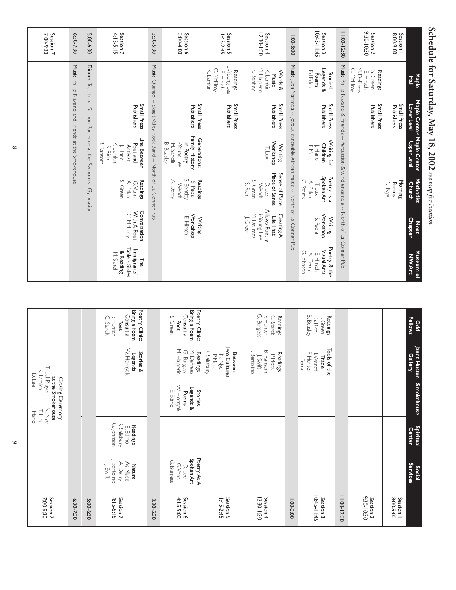|                            | Maple                                                                | Lower Level                    | Maple Center Maple Center                                                                              | Methodist<br>Church                                                           | <b>Next</b>                                                                        | Museum of<br>Nuseum of                                             |
|----------------------------|----------------------------------------------------------------------|--------------------------------|--------------------------------------------------------------------------------------------------------|-------------------------------------------------------------------------------|------------------------------------------------------------------------------------|--------------------------------------------------------------------|
| Session  <br>8:00-9:00     |                                                                      | Small Press<br>Publishers      | Upper Level                                                                                            | Morning<br>N. Nye<br>Poems                                                    | <b>Chapter</b>                                                                     |                                                                    |
| Session 2<br>9:30-10:30    | M. DeFrees<br>C. McElroy<br><b>Readings</b><br>S. Green<br>E. Hirsch | Small Press<br>Publishers      |                                                                                                        |                                                                               |                                                                                    |                                                                    |
| 11:00-12:30                |                                                                      | Music Phillip Nakano & Friends |                                                                                                        | Percussion & wind ensemble                                                    | North of La                                                                        | Conner Pub                                                         |
| $10:45-11:45$<br>Session 3 | Legends &<br>Ed Edmo<br>Stories<br>Poems                             | Small Press<br>Publishers      | Writing for<br><b>Children</b><br>P. Mora<br>J. Harjo                                                  | Spoken Art<br>Poetry as a<br>C. Starck<br>A. Pitkin<br>T. Lux                 | Workshop<br>Writing<br>S. Paola                                                    | Poetry & the<br>Visual Arts<br>G. Johnson<br>E. Hirsch<br>A. Derry |
| $1:00-3:00$                |                                                                      |                                | Music Juba Marimba -- Joyous, danceable African music -- North of La Conner Pub                        |                                                                               |                                                                                    |                                                                    |
| 12:30-1:30<br>Session 4    | M. Halperin<br>S. Bentley<br>K. Lamkin<br>Words &<br>Music           | Small Press<br>Publishers      | Workshop<br>Writing<br>T. Lux                                                                          | Sense of Place<br>Place of Sense<br>I. Wendt<br>S. Green<br>S. Rich<br>D. Lee | Allows Poetry<br>Li-Young Lee<br>M. DeFrees<br>Creating A<br>Life That<br>I. Green |                                                                    |
| Session 5<br>$1:45-2:45$   | Li-Young Lee<br>McElroy<br>K. Lamkin<br>Readings<br>E. Hirsch        | Small Press<br>Publishers      |                                                                                                        |                                                                               |                                                                                    |                                                                    |
| 3:00-4:00<br>Session 6     |                                                                      | Small Press<br>Publishers      | Family History<br>Li-Young Lee<br>Generations:<br>in Poetry<br>B. Beasley<br>M. Sanelli                | S. Bentley<br>Readings<br>A. Derry<br>I. Wendt<br>S. Paola                    | Workshop<br>E. Hirsch<br>Writing                                                   |                                                                    |
| 3:30-5:30                  | Music Quango                                                         |                                | Skagit Valley Rock Band -- North of La Conner Pub                                                      |                                                                               |                                                                                    |                                                                    |
| Session 7<br>4:15-5:15     |                                                                      | Small Press<br>Publishers      | Line Between<br><b>B.</b> Ransom<br>K. Lamkin<br>Poet and<br>Activist<br>$\mathsf{L}$ Harjo<br>S. Rich | Readings<br>S. Green<br>A. Pitkin<br>G.Venn                                   | Conversation<br>With A Poet<br>C. McElroy                                          | Immigrants'<br>Table - Slides<br>& Reading<br>M. Sanelli<br>닣      |
| 5:00-6:30                  |                                                                      |                                | Dinner Traditional Salmon Barbecue at the Swinomish Gymnasium                                          |                                                                               |                                                                                    |                                                                    |
| 6:30-7:30                  |                                                                      |                                | Music Philip Nakano and Friends at the Smokehous                                                       |                                                                               |                                                                                    |                                                                    |
| Session 7<br>7:00-9:30     |                                                                      |                                |                                                                                                        |                                                                               |                                                                                    |                                                                    |

**Schedule for Saturday,**

 **May 18, 2002** 

*see map for location*

| Session 7<br>7:00-9:30             |                                                             |                                                   | at the Smokehouse<br>Closing Ceremony<br>N.Nye<br>J. Harjo<br>T. Lux | Tribal Prayer<br>K. Lamkin<br>D. Lee                           |                                                                               |
|------------------------------------|-------------------------------------------------------------|---------------------------------------------------|----------------------------------------------------------------------|----------------------------------------------------------------|-------------------------------------------------------------------------------|
| 6:30-7:30                          |                                                             |                                                   |                                                                      |                                                                |                                                                               |
| 5:00-6:30                          |                                                             |                                                   |                                                                      |                                                                |                                                                               |
| Session 7<br>4:15-5:15             | J. Bertolino<br>A. Derry<br>As Muse<br>J. Swift<br>Nature   | R. Salisbury<br>G. Johnson<br>Readings<br>E. Edmo |                                                                      | W. Homyak<br>Stories &<br>Legends                              | Poetry Clinic:<br>Bring a Poem<br>Consult a<br>P. Hunter<br>C. Starck<br>Poet |
| 3:30-5:30                          |                                                             |                                                   |                                                                      |                                                                |                                                                               |
| Session 6                          | Poetry As A<br>Spoken Art<br>G. Burgess<br>G.Venn<br>D. Lee |                                                   | W. Hornyak<br>Legends &<br>E. Edmo<br>Stories,<br>Poems              | M. Halperin<br>M. DeFrees<br>G. Burgess<br><b>Readings</b>     | Poetry Clinic:<br>Bring a Poem<br>Consult a<br>S. Green<br>Poet               |
| Session 5<br>$1:45-2:45$           |                                                             |                                                   |                                                                      | Two Cultures<br>R. Salisbury<br>Between<br>N.Nye<br>P. Mora    |                                                                               |
| 12:30-1:30<br>Session 4            |                                                             |                                                   |                                                                      | J. Bertolino<br>B. Ransom<br>Readings<br>$J.$ Swift<br>P. Mora | G. Burgess<br>Readings<br>P. Hunter<br>C. Starck                              |
| $1:00-3:00$                        |                                                             |                                                   |                                                                      |                                                                |                                                                               |
| $10:45 - 11:45$<br>Session 3       |                                                             |                                                   |                                                                      | Tools of the<br>P. Hunter<br>I. Wendt<br>L. Ferra<br>Trade     | B. Beasley<br><b>Readings</b><br>). Green<br>S. Rich                          |
| 11:00-12:30                        |                                                             |                                                   |                                                                      |                                                                |                                                                               |
| 9:30-10:30<br>Session <sub>2</sub> |                                                             |                                                   |                                                                      |                                                                |                                                                               |
| Session  <br>8:00-9:00             |                                                             |                                                   |                                                                      |                                                                |                                                                               |
|                                    | <b>Services</b><br><b>Social</b>                            | Spiritual<br>Center                               | <b>Smokehouse</b>                                                    | Janet Huston<br><b>Gallery</b>                                 | <b>Fellows</b><br>Ddd                                                         |

 $\circ$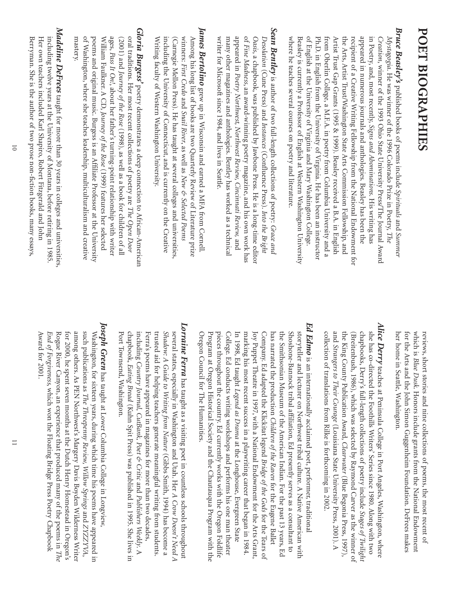## **POET BIOGRAPHIES**

- *Bruce Beasley's*  appeared in numerous journals and anthologies. Beasley has been the where he teaches several courses on poetry and literature. Beasley is currently a Professor of English at Western Washington University where he teaches several courses on poetry and literature. Beasley is currently a Professor ofPh.D. from Oberlin College,Ar the Arts,re cipient of in Poetry, and, *Mystagogia*. of appeared in numerous journals and anthologies.*Creation*,English at the University oftist Trust Gap Grants (1995 & 1999).in English from the University of Artist Trust/Washington State Arts Commission Fellowship, winner ofa Creative Writing Fellowship from the National Endowment for He was winner ofmost recently, published books of the 1993 Ohio State University Press/The Journal Award a M.F.A. *Signs and Abominations* the 1996 Colorado Prize in Poetry, Virginia and Mary Washington College. in poetry from Columbia University and a English at Western Washington University poems include Virginia. Beasley received a B.A.He has been an instructor Beasley has been the *Spirituals* . His writing has and in English *The Summer* and
- **Sean Bentley** is author of two full-length collections of poetry: Grace and *Sean Bentley* Desolation (Cune Press) and Instances (Confluence Press). Into the Bright many other magazines and anthologies. Bentley has worked as a technical wr many other magazines and anthologies.*Desolation* appeared in of *Oasis*, a chapbook,iter for Microsoft since 1984,*Fine Madness*(Cune Press) and *Poetry* is author ofan award-winning poetry magazine, was published by Jawbone Press.*Northwest,* two full-length collections of*Instances Northwest Review,*and lives in Seattle. (Confluence Press). Bentley has worked as a technical *Cincinnati Review,* He is a long-time editor and his own work has *Into the Bright Grace and* and
- **James Bertolino** grew up in Wisconsin and earned a MFA from Cornell. *James Bertolino* Among his long list of books are two Quarterly Review of Literature prize (Carnegie Mellon Press). He has taught at several colleges and universities including the University ofwinners: Among his long list ofWriting faculty of Western Washington University. (Carnegie Mellon Press).ng faculty of*First Credo* grew up in Wisconsin and earned a MFA from Cornell. Western Washington University. and books are two Quarterly Review of*Snail River*He has taught at several colleges and universities, Connecticut,as well as and is currently on the Creative *New & Selected Poems* Literature prize
- Gloria Burgess' poetry demonstrates a deep connection to African-American *Gloria Burgess'* poems and original music. Burgess is an Affiliate Professor at the University oral traditions. Her most recent collections of poetry are The Open Door mastery. poems and original music.William Faulkner.ofages, (2001) and *Journey of* oral traditions. Washington,*Pass It On!* where she teaches leadership,Her most recent collections of, poetry demonstrates a deep connection to African-American about her father's turning-point relationship with writer A CD, *the Rose Journey of the Rose* Burgess is an Affiliate Professor at the University (1998), as well as a book for children of(1999) features her selected multiculturalism and creative poetry are *The Open Door*  $\stackrel{p}{=}$
- **Madeline DeFrees** taught for more than 30 years in colleges and universities. *Madeline DeFrees* including twelve years at the University of Montana, before retiring in 1985. Berryman. He including twelve years at the University ofr own teachers included Karl Shapiro,She is the author oftaught for more than 30 years in colleges and universities, two prose non-fiction books,Robert Fitzgerald and John Montana, before retiring in 1985. many essays,

her home in Seattle, Washington for the Arts and the John Simon Guggenheim Foundation. DeFrees makes her home in Seattle,for the Arts and the John Simon Guggenheim Foundation.which is reviews, *Blue Dusk*short stories and nine collections of. Honors include grants from the National Endowment Washington. poems, the most recent of DeFrees makes

- *Alice Derry* she has co-directed the Foothills Writers' Series since 1980. Along with two collection of translations from Rilke is forthcoming in 2002. collection ofand the King County Publication Award, c hapbooks, she has co-directed the Foothills Writers'(Breitenbush,*Strangers to Their Courage* teaches at Peninsula College in Port Angeles,Derry's full-length collections of translations from Rilke is forthcoming in 2002. 1986), which was selected by Raymond Carver as the winner of (Louisiana State University Press,*Clearwater* Series since 1980. poetry include (Blue Begonia Press, Washington, Along with two *Stages of Twilight* 2001). 1997), where A
- *Ed Edmo*  $E\!d$   $E\!dmo$  is an internationally acclaimed poet, performer, traditional marking his most recent success in a playwriting career that began in 1984. storyteller and lecturer on Northwest tribal culture. A Native American with Oregon Council for The Humanities. Program at Oregon Historical Society and the Chautauqua Program with the pieces throughout the country. Ed currently works with the Oregon Foldlife Joy Puppet Theatre in 1997, with a National Endowment for the Arts Grant, Shoshone-Bannock tribal affiliation, Ed presently serves as a consultant to Oregon Council for The Humanities. pieces throughout the country.College.  $\Xi$ marking his most recent success in a playwriting career that began in 1984. Joy Puppet Theatre in 1997,Company. has narrated the production the Smithsonian Museum ofShoshone-Bannock tribal affiliation,storyteller and lecturer on Northwest tribal culture.ogram at Oregon Historical Society and the Chautauqua Program with the 1998, Ed taught Ed conducts writing workshops and performs his one man theater is an internationally acclaimed poet,Ed adapted the Klickitat legend *Legend as Drama* with a National Endowment for the Arts Grant, *Children of*  the American Indian.Ed currently works with the Oregon Foldlife at the Longhouse,Ed presently serves as a consultant to *the Raven Bridge of the Gods* for the Eugene Ballet For the past 13 years, A Native American with Evergreen State traditional for the Tears of Ed
- *Lorraine Ferra* **Lorraine Ferra** has taught as a visiting poet in countless schools throughout trusted aid for helping teachers generate meaningful writing from students. Shadow: A Guide to Writing from Nature (Gibbs Smith, 1994) has become a Port Townsend, Washington. Ferra's poems have appeared in magazines for more than two decades, Port Townsend,chapbook, including Ferra's poems have appeared in magazines for more than two decades, trusted aid for helping teachers generate meaningful writing from students. *Shadow: A Guide to Writing from Nature* several states,*Country Journal,Eating Bread* especially in Washington and Utah. Washington. has taught as a visiting poet in countless schools throughout (Kuhn Spit Press) was published in 1995. *CutBank, Poet & Critic* (Gibbs Smith,Her *A Crow Doesn't Need A* and *Publishers Weekly*1994) has become a She lives in .<br>'>
- *Joseph Green* **Joseph Green** has taught at Lower Columbia College in Longview, among others. As PEN Northwest's Margery Davis Boyden Wilderness Writer for 2000, he spent seven months at the Dutch Henry Homestead in Oregon's Award for 2001. Award for 2001.*End of*Ro among others.such publications as Washington,gue River Canyon, *Forgiveness*, he spent seven months at the Dutch Henry Homestead in Oregon's for sixteen years,has taught at Lower Columbia College in Longview, As PEN Northwest's Margery Davis Boyden Wilderness Writer which won the Floating Bridge Press Poetry Chapbook *The Threepenny Review,*an experience that produced many ofduring which time his poems have appeared in *Willow Springs* the poems in and *ZYZZYVAThe*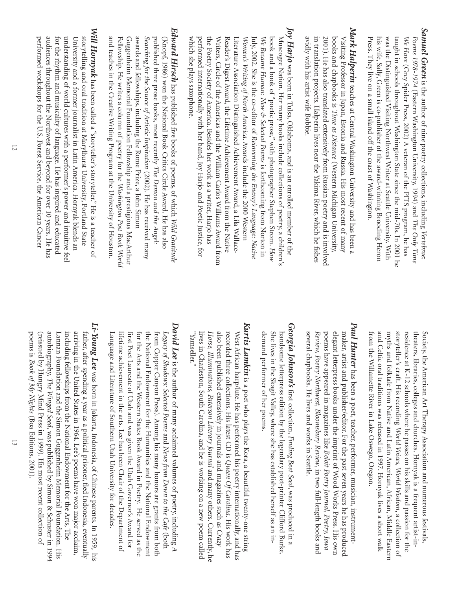- *Samuel Green* is the author ofnine poetry collections, including *Vertebrae: Poems 1978-1974* (Eastern Washington University, 1994) and *The Only Time We Have* (Grey Spider Press,2002) A veteran of the PITS program, he has Pr his wife, Sally, Green is co-publisher of the award-winning Brooding Heron was the Distinguished Visiting Northwest Writer at Seattle University.was the Distinguished Visiting Northwest Writer at Seattle University, With taught in schools throughout Washington State since the mid-70s.taught in schools throughout Washington State since the mid-70s. In 2001 he In 2001 he ess. They live on a small island off the coast ofWashington.
- Mark Halperin teaches at Central Washington University and has been a *Mark Halperin* avidly with his artist wife Bobbie. in translation projects. Halperin lives near the Yakima River, which he fishes books and chapbooks is Time as Distance (Western Michigan University, in translation projects.2001). books and chapbooks is Visiting Professor in Japan,idly with his artist wife Bobbie. He has also translated extensively from Russian poetry and is involved teaches at Central Washington University and has been a Halperin lives near the Yakima River,*Time as Distance* Estonia and Russia.(Western Michigan University, His most recent of which he fishes many
- *Joy Harjo* which she plays saxophone. Reader's Digest Award, the Lifetime Achievement Award from the Native Literature Association Distinguished Achievement Award, a Lila Wallacewhich she plays saxophone. performed internationally with her band,the Poetry Society ofWriters, Circle ofLiterature Association Distinguished Achievement Award,Women's Writing of North America. Awards include the 2000 Western July, 2002. *We Became Human: New & Selected Poems* is forthcoming from Norton in book and a book ofMuscogee Nation.*Women's Writing of*ader's Digest Award,*Became Human: New & Selected Poems* was born in Tulsa,She is the co-editor of the Americas and the William Carlos Williams Award from Her many books include collections of *North America*"poetic prose," America. the Lifetime Achievement Award from the Native Oklahoma,Besides her work as a writer,*Reinventing the Enemy's Language: Native* Awards include the 2000 Western with photographer Stephen Strom. and is an enrolled member of Joy Harjo and Poetic Justice,is forthcoming from Norton in poetry, a Lila Wallace- Harjo has a children's the for *How*
- *Edward Hirsch* and teaches in the Creative Writing Program at the University of Houston. Guggenheim Memorial Foundation Fellowship and a prestigious MacArthur published three prose books, most recently The Demon and the Angel: published three prose books,and teaches in the Creative Writing Program at the University ofFellowship. Guggenheim Memorial Foundation Fellowship and a prestigious MacArthur awards and fellowships,*Searching for the Source of*(Knopf, 1986) won the National Book Critics Circle Award.He writes a column ofhas published five books ofincluding the Rome Prize, *Artistic Inspiration* most recently poetry for the *The Demon and the Angel:* poems, of(2002). *Washington Post Book World* a John Simon He has received many which He has also *Wild Gratitude* Houston.
- Will Hornyak has been called a "storyteller's storyteller." He is a teacher of *Will Hornyak* understanding of world cultures with a performer's power and intuitive feel storytelling and oral tradition at Marylhurst University, Portland State performed workshops for the U.S. Forest Service, the American Cancer performed workshops for the U.S.for the rhythm and musicality ofunderstanding ofUn audiences throughout the Northwest and beyond for over 10 years.storytelling and oral tradition at Marylhurst University,iversity and a former journalist in Latin America.has been called a "storyteller's storyteller." world cultures with a performer's power and intuitive feel language. Forest Service,He has inspired and educated the American Cancer Hornyak blends an Portland State He is a teacher of He has

residence at K-12 schools where he passes on his skills and passion for the theaters, libraries, colleges and churches.Hornyak is a frequent artist-in-Society, the American Art Therapy Association and numerous festivals, the American Art Therapy Association and numerous festivals, sidence at K-12 schools where he passes on his skills and passion for the storyteller's craft.His recording *World Voices,World Wisdom*, a collection of myths and folktale from Native and Latin American,myths and folktale from Native and Latin American, African, Middle Eastern Middle Eastern from the Willamette River in Lake Oswego, Oregon. and Celtic oral traditions was released in 1997.and Celtic oral traditions was released in 1997. Hornyak lives a short walk Hornyak lives a short walk

- *Paul Hunter* elegant letterpress books under the imprint of Wood Works Press. His own maker, artist and publisher/editor. For the past seven years he has produced several chapbooks. He lives and works in Seattle. poems have appeared in magazines like Beloit Poetry Journal, Poetry, Iowa several chapbooks.*Review,*elegant letterpress books under the imprint of<br>poems have appeared in magazines like *Beloit* maker, artist and publisher/editor. For the past seven years he has produced elegant letterpress books under the imprint of Wood Works Press. His own poems have appeared in magazines like *Beloit Poetry Journal, Poetry, Io Poetry Northwest,*has been a poet,He lives and works in Seattle.  *Bloomsbury Review* teacher, performer, musician, in two full-length books and Wood Works Press.instrument-
- **Georgia Johnson's** first collection, Finding Beet Seed, was produced in a *Georgia Johnson's* handsome letterpress edition by the legendary poet-printer Clifford Burke. demand performer of her poems. demand performer ofShe lives in the Skagit Valley,handsome letterpress edition by the legendary poet-printer Clifford Burke. first collection, where she has established herself*Finding Beet Seed*was produced in a as an in-
- Kurtis Lamkin is a poet who plays the Kora, a beautiful twenty-one string *Kurtis Lamkin* also been published extensively in journals and magazines such as Crazy "Yamseller." "Yamseller." lives in Charleston,*Horse,*also been published extensively in journals and magazines such as recorded three collections.West African harp/lute. *Illuminations,*is a poet who plays the Kora,South Carolina, *Paterson Literary Journal* He has performed his poetry internationally,His latest CD is and he is working on a new poem called *Queen Of Carolina*. a beautiful twenty-one string and many others.His work has Currently, and has he
- *David Lee* first Poet Laureate of Utah and was given the Utah Governor's Award for for the Arts and the Western States Book Award in Poetry. He served as the the National Endowment for the Humanities and the National Endowment from Copper Canyon Press). Among his many honors are grants from both Language and Literature of Southern Utah University for decades. Language and Literature oflifetime achievement in the arts. Lee has been Chair of the Department of lifetime achievement in the arts.first Poet Laureate offor the Arts and the Western States Book Award in Poetry.the National Endowment for the Hu from Copper Canyon Press).*Legacy of Shadows: Selected Poems* is the author ofUtah and was given the Utah Governor's Award for many acclaimed volumes ofSouthern Utah University for decades. Among his many honors are grants from both Lee has been Chair ofand manities and the National Endowment *News from Down to the Cafe* poetry, including *A* the Department of He served as the (both
- *Li-Young Lee* was born in Jakarta, Indonesia, of Chinese parents. In 1959, his autobiography, Lannan Foundation and the Simon Guggenheim Memorial Foundation. His including fellowships from the National Endowment for the Arts,including fellowships from the National Endowment for the Arts, The arriving in the United States in 1964.arriving in the United States in 1964. Lee's poems have won major acclaim, Lee's poems have won major acclaim, father, after spending a year as a political prisoner,fled Indonesia, eventually *The Winged Seed*autobiography, The Winged Seed, was published by Simon & Schuster in 1994 was published by Simon & Schuster in 1994 poems is (reissued by Hungry Mind Press in 1999).(reissued by Hungry Mind Press in 1999). His most recent collection of His most recent collection of *Book of My Nights* (Boa Editions,2001).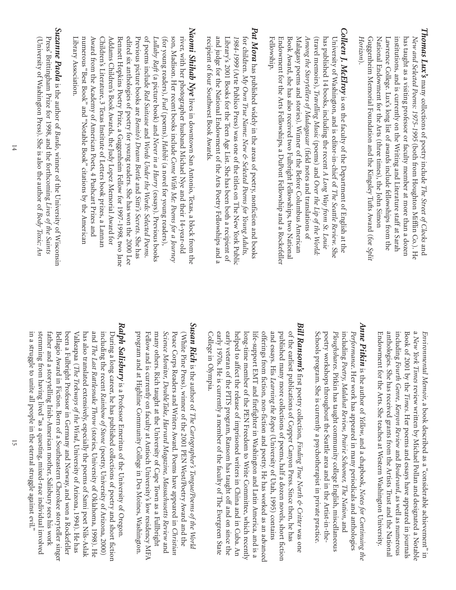- *Thomas Lux's* many collections of poetry include *The Street of Clocks* and *New and Selected Poems: 1975-1995* (both from Houghton Mifflin Co.). He National Endowment for the Arts (three times), the John Simon Lawrence College.Lux's long list ofawards include fellowships from the institutions,and is currently on the Writing and Literature staff at Sarah has taught as a visiting professor or faculty member at more than a dozen tional Endowment for the Arts (three times), the John Simon Guggenheim Memorial Foundation and the Kingsley Tufts Award (for Guggenheim Memorial Foundation and the Kingsley Tufts Award (for Split *Horizon*).
- *Colleen J.*Endowment for the Arts Fellowships, a DuPont Fellowship and a Rockefeller Book Award, she has also received two Fulbright Fellowships, two National Malagasy poems and stories). Winner of the Before Columbus American Among the Storytellers of Madagascar (field notes and translations of Endowment for the Arts Fellowships,Book Award,Malagasy poems and stories).*Among the Storytellers of*(travel memoirs), *Travelling Music* (poems) and *Over the Lip of the World*: has published 14 books,University ofFellow (travel memoirs), ship.  *McElroy* Washington,she has also received two Fulbright Fellowships,*Travelling Music* is on the faculty of *Madagascar* including the recent *A Long Way from St.*and is editor-in-chief Winner of(poems) and (field notes and translations of a DuPont Fellowship and a Rockefeller the Department of the Before Columbus American *Over the Lip of* of *The Seattle Review*English at the two National *the World: Louie* . She
- *Pat Mora* and judge for the National Endowment of the Arts Poetry Fellowships and a for children. My Own True Name: New & Selected Poems for Young Adults, Library's 2001 Books for the Teen Age List. She has been both a recipient of re cipient of Library's 2001 Books for the Teen Age List.1984-1999 (Arte Publico Press) was one of the titles on The New York Public for children. and judge for the National Endowment of*1984-1999* has published widely in the areas of(Arte Publico Press) was one offour Southwest Book Awards. *Own True Name: New & Selected Poems for Young Adults,* the Arts Poetry Fellowships and a the titles on The New York Public She has been both a recipient of poetry, nonfiction and books
- *Naomi Shihab Nye* edited six anthologies of poetry for young readers. She has won the 2000 Lee river, with her photographer husband Michael Nye and their 14-year-old Award from the Academy of American Poets, 4 Pushcart Prizes and Addams Children's Book Awards, the Judy Lopez Memorial Award for Library Association. numerous "Best Book"Bennett Hopkins Poetry Prize,Previous picture books are *Lullaby Raft* Library Association. Children's Literature,edited six anthologies ofof (for young readers), son,ward from the Academy ofddams Children's Book Awards,poems include Madison.with her photographer husband Michael Nye and their 14-year-old (a picture book) and Her recent books include *Red Suitcase Fuel* lives in downtown San Antonio,3 Texas Institute ofand "Notable Book" poetry for young readers.(poems), *Benito's Dream Bottle* American Poets,and a Guggenheim Fellow for 1997-1998, the Judy Lopez Memorial Award for *Never in a Hurry Habibi Words Under the Words: Selected PoemsCome With Me: Poems for a Journey* Letters book prizes,(a novel for young readers), citations by the American 4 Pushcart Prizes and and She has won the 2000 Lee (essays). Texas, *Sitti's Secrets*a block from the Previous books a Lannan . She has two Jane
- *Suzanne Paola* is the author of *Bardo*, winner of the University of Wisconsin Press' Brittingham Prize for 1998,and the forthcoming *Lives of the Saints* (University of Washington Press).She is also the author of *Body Toxic: An*

*Environmental Memoir*, a book described as a "considerable achievement" in a New York Times review written by Michael Pollan and designated a Notable *New York Times* review written by Michael Pollan and designated a Notable Book of 2001 by the *Times*. Her poems and essays have appeared in journals including *Fourth Genre, Kenyon Review* and *Boulevard*as well as numerous Endowment for the Arts.Endowment for the Arts. She teaches at Western Washington University. She teaches at Western Washington University. anthologies.anthologies. She has received grants from the Artists Trust and the National She has received grants from the Artists Trust and the National

- *Anne Pitkin* Schools program. She is currently a psychotherapist in private practice. poetry workshops throughout the Seattle area and in the Artist-in-the-Schools program.poetry workshops throughout the Seattle area and in the Artist-in-the-*Ploughshares*including *PerformancePoetry,*. is the author of Her work has appeared in many periodicals and anthologies Pitkin has taught community college English, *Malahat Review,*She is currently a psychotherapist in private practice. *Yellow*,  *Prairie Schooner,*and a chapbook, *The NationNotes for Continuing the* miscellaneous , and
- *Bill Ransom's* **Bill Ransom's** first poetry collection, Finding True North & Critter was one College in Olympia. early 1970s. early veteran ofhelped to affect the release oflong-time member oflife-support EMT and firefighter in Washington and Latin America,offerings from fiction,and essays. His published many more collections ofof the earliest publications ofe in Olympia. He is currently a member offirst poetry collection, *Learning the Ropes* the PITS the PEN non-fiction and poetry. program,imprisoned writers in China and in Cuba.Copper Canyon Press.Freedom to Write Committee,(University ofRansom has taught off poems,*Finding True North & Critter* the faculty of half He has worked as an advanced Utah, a dozen novels,Since then, The Evergreen State 1995) contains and on since the which recently he has short fiction was one and is a An
- **Susan Rich** is the author of The Cartographer's Tongue/Poems of the World *Susan Rich* program and at Highline Community College in Des Moines, Washington. Science Monitor, DoubleTake, Harvard Magazine, Massachusetts Review and program and at Highline Community College in Des Moines,Fellow and is currently on faculty at Antioch University's low residency MFA many others.*Science Monitor,*Peace Corps Readers and Writers Award.(White Pine Press), winner of the 2001 PEN West/Poetry Award and the (White Pine Press),llow and is currently on faculty at Antioch University's low residency MFA is the author of Rich taught at the University of *DoubleTake,* winner of*The Cartographer's Tongue/Poems of Harvard Magazine,* the 2001 PEN West/Poetry Award and the Poems have appeared in Cape Town as a Fullbright  *Massachusetts Review* Washington. *the World Christian*
- *Ralph Salisbury* in a struggle to unite all people in the eternal struggle against evil." stemming from having lived "as a questing, mixed-race individual involved father and a storytelling Irish-American mother, Salisbury sees his work been a Fulbright Professor in Germany and Norway, and won a Rockefeller During a long career, he has published collections of poetry and short fiction in a struggle to unite all people in the eternal struggle against evil." stemming from having lived "as a questing,father and a storytelling Irish-American mother,Bellagio Award in Fiction.been a Fulbright Professor in Germany and Norway,V alkeapaa (has also translated extensively,and including the recent During a long career,*The Last Rattlesnake Throw The Trekways of*is a Professor Emeritus of*Rainbow of Stone* he has published collections of Born of  *the Wind*, especially the poems of(stories, a Southeastern Cherokee storyteller singer University of(poetry, University of the University ofmixed-race individual involved University ofSalisbury sees his work Arizona, 1994). He has and won a Rockefeller poetry and short fiction Oklahoma,Sami poet Nils-Aslak Arizona, 2000) Oregon. 1998). He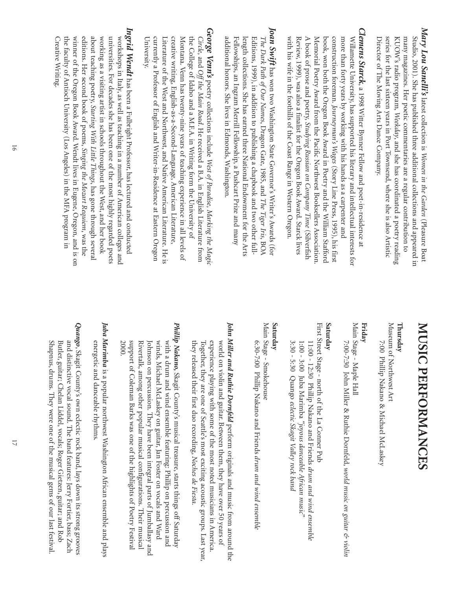- Mary Lou Sanelli's latest collection is Women in the Garden (Pleasure Boat series for the last sixteen years in Port Townsend, where she is also Artistic many magazines. Her poetic commentaries are a regular contribution to Director of The Moving Arts Dance Company. Director ofKUOW's radio program, many magazines.series for the last sixteen years in Port Townsend,Studio, 2001). *Lou Sanelli's* The Moving Arts Dance Company. She has published three additional collections and appeared in Her poetic commentaries are a regular contribution to latest collection is *Weekday*, and she has coordinated a poetry reading *Women in the Garden* where she is also Artistic (Pleasure Boat
- *Clemens Starck*A book of prose and poetry, Studying Russian on Company Time (Silverfish book, won both the Oregon Book Award in Poetry and the William Stafforc Memorial Poetry Award from the Pacific Northwest Booksellers Association Willamette University, has supported his literary and intellectual interests for with his wife in the foothills of the Coast Range in Western Oregon with his wife in the foothills ofReview, 1999),A book ofmore than forty years by working with his hands as a carpenter and Willamette University,co nstruction foreman. morial Poetry Award from the Pacific Northwest Booksellers Association. won both the Oregon Book Award in Poetry and the William Stafford prose and poetry, was also a finalist for the Oregon Book Award., a 1998 Witter Bynner Fellow and poet-in-residence at has supported his literary and intellectual interests for *Journeyman's Wages Studying Russian on Company Time* the Coast Range in Western Oregon. (Story Line Press, 1995),Starck lives his first
- *Joan Swift* has won two Washington State Governor's Writer's Awards (for has won two Washington State Governor's Writer's Awards (for *The Dark Path ofOur Names*, Dragon Gate, 1985, and *The Tiger Iris*, BOA Fe length collections.length collections. She has earned three National Endowment for the Arts She has earned three National Endowment for the Arts Editions, 1999), in addition to publishing a chapbook and two other fullllowships, an Ingram Merrill Fellowship,a Pushcart Prize and many additional honors.additional honors. She lives in Edmonds, Washington. She lives in Edmonds,Washington.
- *George Venn's* poetry collections include *West of Paradise, Marking the Magic Circle,* and *Off the Main Road*. He received a B.A.in English Literature from  $_{\rm N0}$ the College ofIdaho and a M.F.A.in Writing form the University of ntana. Venn has twenty-nine years of teaching experience in all levels of Univer currently a Professor ofcurrently a Professor of English and Writer-in-Residence at Eastern Oregon English and Writer-in-Residence at Eastern Oregon Literature of the West and Northwest,and Native American Literature. He is creative writing,creative writing, English-as-a-Second-Language, American Literature English-as-a-Second-Language, American Literature, sity.
- **Ingrid Wendt** has been a Fulbright Professor, has lectured and conducted *Ingrid Wendt* Creative Writing. about teaching poetry, Starting With Little Things, has gone through several universities. For decades she has been one of the most highly regarded poets workshops in Italy, as well as teaching in a number of American colleges and the faculty of Antioch University (Los Angeles) in the MFA program in the faculty ofwinner of $\stackrel{\triangle}{\otimes}$ universities.workshops in Italy,editions. about teaching poetry, eative Writing. rking as a visiting artist in schools throughout the West,Her second book of the Oregon Book Award.For decades she has been one of Antioch University (Los Angeles) in the MFA program in has been a Fulbright Professor,as well as teaching in a number of*Starting With Little Things* poems, Wendt lives in Eugene,*Singing the Mozart Requiem* the most highly regarded poets has lectured and conducted has gone through several American colleges and Oregon, and her book , was the and is on

# MUSIC PERFORMANCES **MUSIC PERFORMANCES**

### **Thursday**

Museum of Northwest Art useum of7:00 Phillip Nakano & Michael McLaskey 7:00 Phillip Nakano & Michael McLaskey Northwest Art

#### **Friday**

Main Stage - Maple Hall Main Stage - Maple Hall

7:00-7:30 John Miller & Ruthie Dornfeld, world music on guitar & violin 7:00-7:30 John Miller & Ruthie Dornfeld, *world music on guitar & violin*

#### **Saturday**

First Street Stage - north of the La Conner Pub First Street Stage - north of1:00 - 3:00 Juba Marimba "joyous danceable African music" 11:00 - 12:30 Phillip Nakano and Friends drum and wind ensemble 1:00 - 3:00 Juba Marimba 11:00 - 12:30 Phillip Nakano and Friends the La Conner Pub *"joyous danceable African music" drum and wind ensemble*

### **Saturday**

3:30 - 5:30 Quango

*eclectic Skagit Valley rock band*

3:30 - 5:30 Quango eclectic Skagit Valley rock band

Main Stage - Smokehouse ain Stage - Smokehouse 6:30-7:00 Phillip Nakano and Friends drum and wind ensemble 6:30-7:00 Phillip Nakano and Friends *drum and wind ensemble*

- John Miller and Ruthie Dornfeld perform originals and music from around the *John Miller and Ruthie Dornfeld* experience playing with some of the most noted musicians in America. world on violin and guitar. Between them, they have over 50 years of they released their first duo recording, Noches de Fiesta. they released their first duo recording, Together,experience playing with some ofworld on violin and guitar. they are one ofSeattle's most exciting acoustic groups.Between them,perform originals and music from around the the most noted musicians in America. *Noches de Fiesta.* they have over 50 years of Last year,
- *Phillip Nakano,* 2000. winds, Michael McLaskey on guitar, Jan Foster on vocals and Ward with a drum and wind ensemble featuring: Phillip on percussion and Johnson on percussion. They have been integral parts of Jumballasy and support of Rivertalk, Johnson on percussion.with a drum and wind ensemble featuring: Michael McLaskey on guitar,among other popular musical configurations.Skagit County's musical treasure,Coleman Barks was one of They have been integral parts of Jan Foster on vocals and Ward the highlights ofPhillip on percussion and starts things offPoetry Festival Their musical Jumballasy and Saturday
- Juba Marimba is a popular northwest Washington African ensemble and plays *Juba Marimba* energetic and danceable rhythms. energetic and danceable rhythms. is a popular northwest Washington African ensemble and plays
- *Quango*, Skagit County's own eclectic rock band, lays down its strong grooves Bu and distinctive vocal sound. The band features: Jerry Fortier, bass; Zach tler, guitar; Chelan Liddel, vocals; Roger Gietzen, guitar; and Rob Shapnus, drums.They were one of the musical gems ofour last festival.